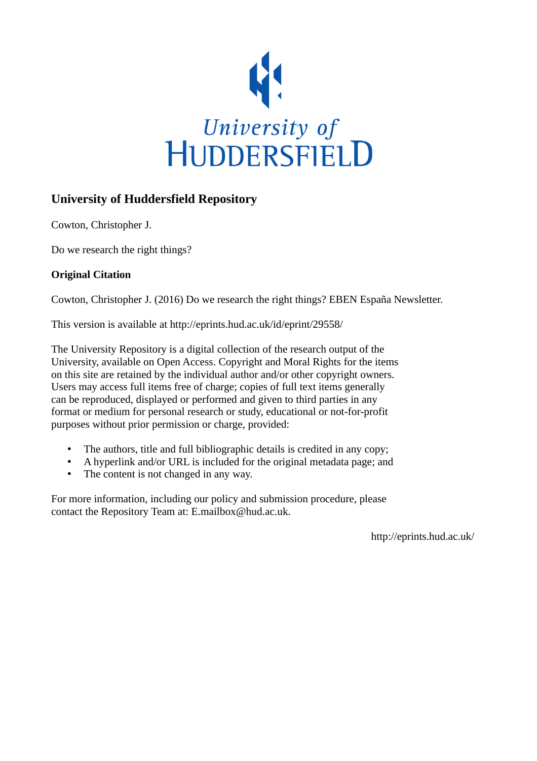

## **University of Huddersfield Repository**

Cowton, Christopher J.

Do we research the right things?

## **Original Citation**

Cowton, Christopher J. (2016) Do we research the right things? EBEN España Newsletter.

This version is available at http://eprints.hud.ac.uk/id/eprint/29558/

The University Repository is a digital collection of the research output of the University, available on Open Access. Copyright and Moral Rights for the items on this site are retained by the individual author and/or other copyright owners. Users may access full items free of charge; copies of full text items generally can be reproduced, displayed or performed and given to third parties in any format or medium for personal research or study, educational or not-for-profit purposes without prior permission or charge, provided:

- The authors, title and full bibliographic details is credited in any copy;
- A hyperlink and/or URL is included for the original metadata page; and
- The content is not changed in any way.

For more information, including our policy and submission procedure, please contact the Repository Team at: E.mailbox@hud.ac.uk.

http://eprints.hud.ac.uk/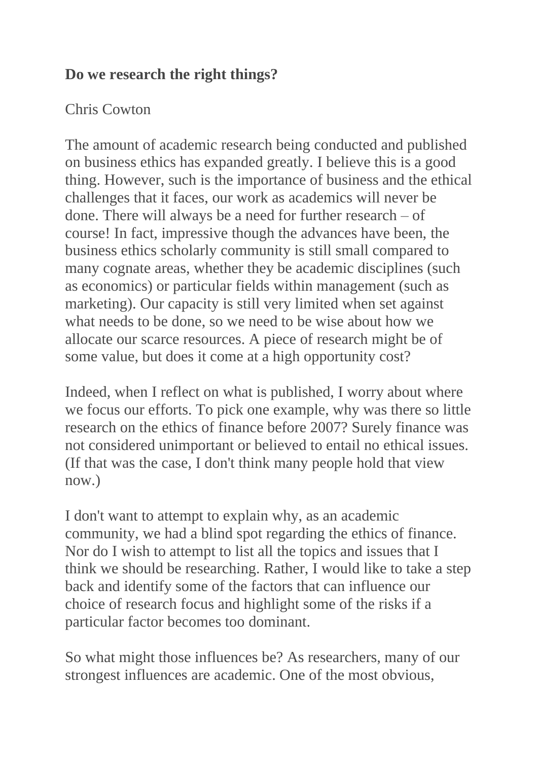## **Do we research the right things?**

## Chris Cowton

The amount of academic research being conducted and published on business ethics has expanded greatly. I believe this is a good thing. However, such is the importance of business and the ethical challenges that it faces, our work as academics will never be done. There will always be a need for further research – of course! In fact, impressive though the advances have been, the business ethics scholarly community is still small compared to many cognate areas, whether they be academic disciplines (such as economics) or particular fields within management (such as marketing). Our capacity is still very limited when set against what needs to be done, so we need to be wise about how we allocate our scarce resources. A piece of research might be of some value, but does it come at a high opportunity cost?

Indeed, when I reflect on what is published, I worry about where we focus our efforts. To pick one example, why was there so little research on the ethics of finance before 2007? Surely finance was not considered unimportant or believed to entail no ethical issues. (If that was the case, I don't think many people hold that view now.)

I don't want to attempt to explain why, as an academic community, we had a blind spot regarding the ethics of finance. Nor do I wish to attempt to list all the topics and issues that I think we should be researching. Rather, I would like to take a step back and identify some of the factors that can influence our choice of research focus and highlight some of the risks if a particular factor becomes too dominant.

So what might those influences be? As researchers, many of our strongest influences are academic. One of the most obvious,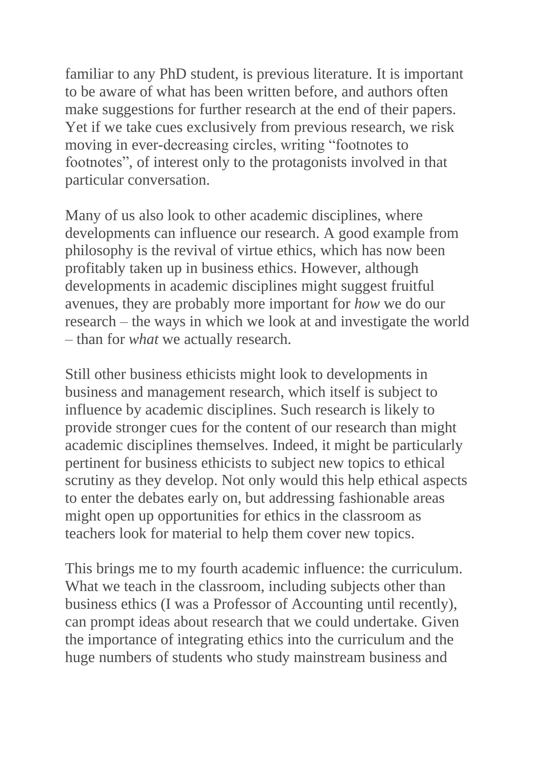familiar to any PhD student, is previous literature. It is important to be aware of what has been written before, and authors often make suggestions for further research at the end of their papers. Yet if we take cues exclusively from previous research, we risk moving in ever-decreasing circles, writing "footnotes to footnotes", of interest only to the protagonists involved in that particular conversation.

Many of us also look to other academic disciplines, where developments can influence our research. A good example from philosophy is the revival of virtue ethics, which has now been profitably taken up in business ethics. However, although developments in academic disciplines might suggest fruitful avenues, they are probably more important for *how* we do our research – the ways in which we look at and investigate the world – than for *what* we actually research.

Still other business ethicists might look to developments in business and management research, which itself is subject to influence by academic disciplines. Such research is likely to provide stronger cues for the content of our research than might academic disciplines themselves. Indeed, it might be particularly pertinent for business ethicists to subject new topics to ethical scrutiny as they develop. Not only would this help ethical aspects to enter the debates early on, but addressing fashionable areas might open up opportunities for ethics in the classroom as teachers look for material to help them cover new topics.

This brings me to my fourth academic influence: the curriculum. What we teach in the classroom, including subjects other than business ethics (I was a Professor of Accounting until recently), can prompt ideas about research that we could undertake. Given the importance of integrating ethics into the curriculum and the huge numbers of students who study mainstream business and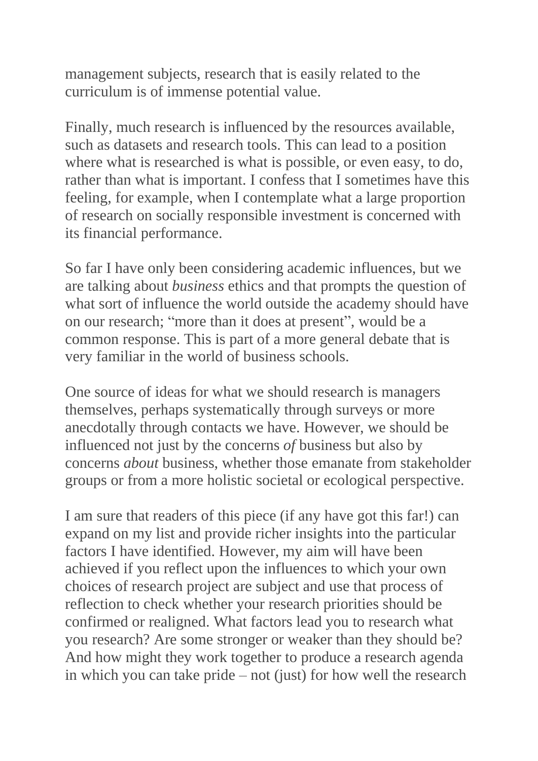management subjects, research that is easily related to the curriculum is of immense potential value.

Finally, much research is influenced by the resources available, such as datasets and research tools. This can lead to a position where what is researched is what is possible, or even easy, to do, rather than what is important. I confess that I sometimes have this feeling, for example, when I contemplate what a large proportion of research on socially responsible investment is concerned with its financial performance.

So far I have only been considering academic influences, but we are talking about *business* ethics and that prompts the question of what sort of influence the world outside the academy should have on our research; "more than it does at present", would be a common response. This is part of a more general debate that is very familiar in the world of business schools.

One source of ideas for what we should research is managers themselves, perhaps systematically through surveys or more anecdotally through contacts we have. However, we should be influenced not just by the concerns *of* business but also by concerns *about* business, whether those emanate from stakeholder groups or from a more holistic societal or ecological perspective.

I am sure that readers of this piece (if any have got this far!) can expand on my list and provide richer insights into the particular factors I have identified. However, my aim will have been achieved if you reflect upon the influences to which your own choices of research project are subject and use that process of reflection to check whether your research priorities should be confirmed or realigned. What factors lead you to research what you research? Are some stronger or weaker than they should be? And how might they work together to produce a research agenda in which you can take pride – not (just) for how well the research